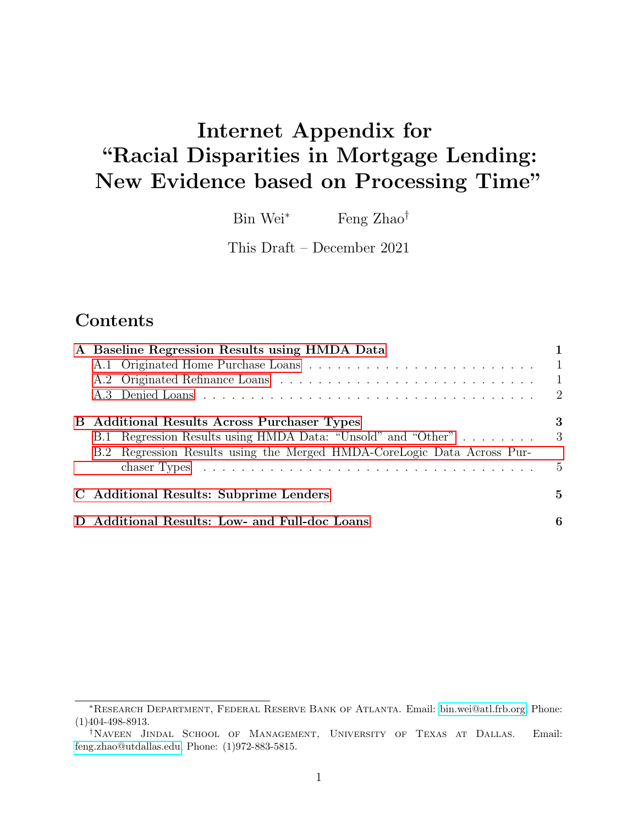# Internet Appendix for "Racial Disparities in Mortgage Lending: New Evidence based on Processing Time"

Bin Wei<sup>∗</sup> Feng Zhao<sup>†</sup>

This Draft – December 2021

### Contents

| A Baseline Regression Results using HMDA Data                           |                |
|-------------------------------------------------------------------------|----------------|
|                                                                         | $\overline{1}$ |
|                                                                         | $\blacksquare$ |
|                                                                         |                |
| <b>B</b> Additional Results Across Purchaser Types                      | 3              |
| B.1 Regression Results using HMDA Data: "Unsold" and "Other"            | -3             |
| B.2 Regression Results using the Merged HMDA-CoreLogic Data Across Pur- | $\frac{5}{2}$  |
| C Additional Results: Subprime Lenders                                  | $\mathbf{5}$   |
| D Additional Results: Low- and Full-doc Loans                           | 6              |

<sup>∗</sup>Research Department, Federal Reserve Bank of Atlanta. Email: [bin.wei@atl.frb.org,](mailto:Bin_Wei) Phone: (1)404-498-8913.

<sup>†</sup>Naveen Jindal School of Management, University of Texas at Dallas. Email: [feng.zhao@utdallas.edu,](mailto:Feng_Zhao) Phone: (1)972-883-5815.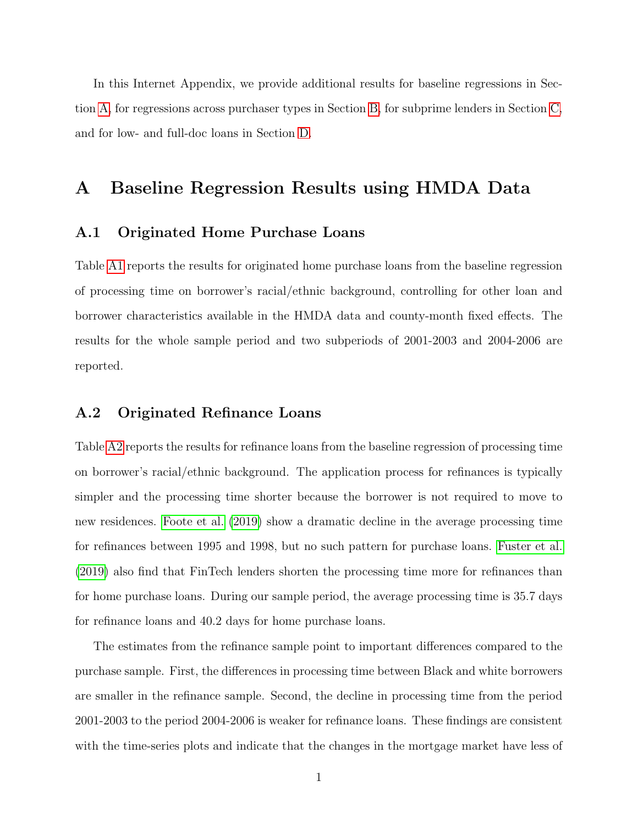In this Internet Appendix, we provide additional results for baseline regressions in Section [A,](#page-1-0) for regressions across purchaser types in Section [B,](#page-3-0) for subprime lenders in Section [C,](#page-5-1) and for low- and full-doc loans in Section [D.](#page-6-0)

#### <span id="page-1-0"></span>A Baseline Regression Results using HMDA Data

#### <span id="page-1-1"></span>A.1 Originated Home Purchase Loans

Table [A1](#page-8-0) reports the results for originated home purchase loans from the baseline regression of processing time on borrower's racial/ethnic background, controlling for other loan and borrower characteristics available in the HMDA data and county-month fixed effects. The results for the whole sample period and two subperiods of 2001-2003 and 2004-2006 are reported.

#### <span id="page-1-2"></span>A.2 Originated Refinance Loans

Table [A2](#page-9-0) reports the results for refinance loans from the baseline regression of processing time on borrower's racial/ethnic background. The application process for refinances is typically simpler and the processing time shorter because the borrower is not required to move to new residences. [Foote et al.](#page-7-0) [\(2019\)](#page-7-0) show a dramatic decline in the average processing time for refinances between 1995 and 1998, but no such pattern for purchase loans. [Fuster et al.](#page-7-1) [\(2019\)](#page-7-1) also find that FinTech lenders shorten the processing time more for refinances than for home purchase loans. During our sample period, the average processing time is 35.7 days for refinance loans and 40.2 days for home purchase loans.

The estimates from the refinance sample point to important differences compared to the purchase sample. First, the differences in processing time between Black and white borrowers are smaller in the refinance sample. Second, the decline in processing time from the period 2001-2003 to the period 2004-2006 is weaker for refinance loans. These findings are consistent with the time-series plots and indicate that the changes in the mortgage market have less of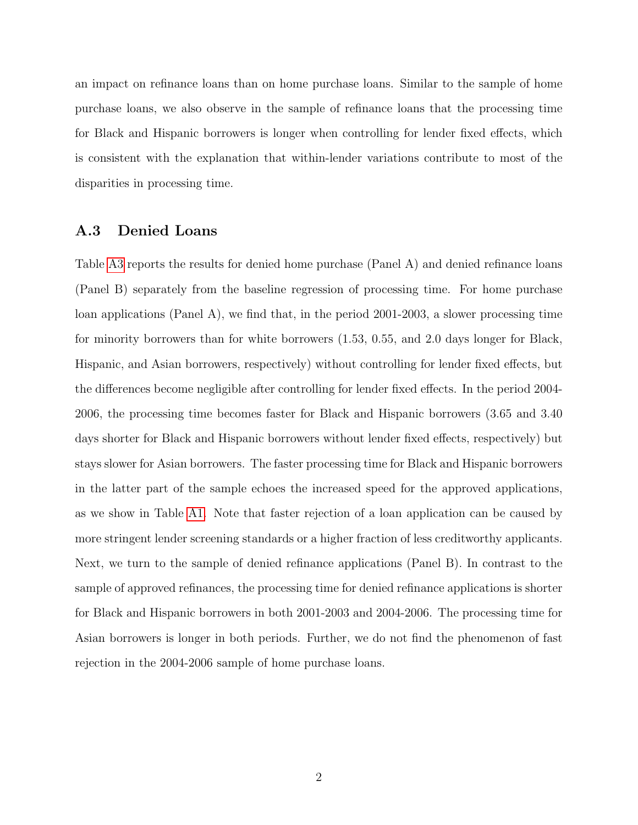an impact on refinance loans than on home purchase loans. Similar to the sample of home purchase loans, we also observe in the sample of refinance loans that the processing time for Black and Hispanic borrowers is longer when controlling for lender fixed effects, which is consistent with the explanation that within-lender variations contribute to most of the disparities in processing time.

#### <span id="page-2-0"></span>A.3 Denied Loans

Table [A3](#page-10-0) reports the results for denied home purchase (Panel A) and denied refinance loans (Panel B) separately from the baseline regression of processing time. For home purchase loan applications (Panel A), we find that, in the period 2001-2003, a slower processing time for minority borrowers than for white borrowers (1.53, 0.55, and 2.0 days longer for Black, Hispanic, and Asian borrowers, respectively) without controlling for lender fixed effects, but the differences become negligible after controlling for lender fixed effects. In the period 2004- 2006, the processing time becomes faster for Black and Hispanic borrowers (3.65 and 3.40 days shorter for Black and Hispanic borrowers without lender fixed effects, respectively) but stays slower for Asian borrowers. The faster processing time for Black and Hispanic borrowers in the latter part of the sample echoes the increased speed for the approved applications, as we show in Table [A1.](#page-8-0) Note that faster rejection of a loan application can be caused by more stringent lender screening standards or a higher fraction of less creditworthy applicants. Next, we turn to the sample of denied refinance applications (Panel B). In contrast to the sample of approved refinances, the processing time for denied refinance applications is shorter for Black and Hispanic borrowers in both 2001-2003 and 2004-2006. The processing time for Asian borrowers is longer in both periods. Further, we do not find the phenomenon of fast rejection in the 2004-2006 sample of home purchase loans.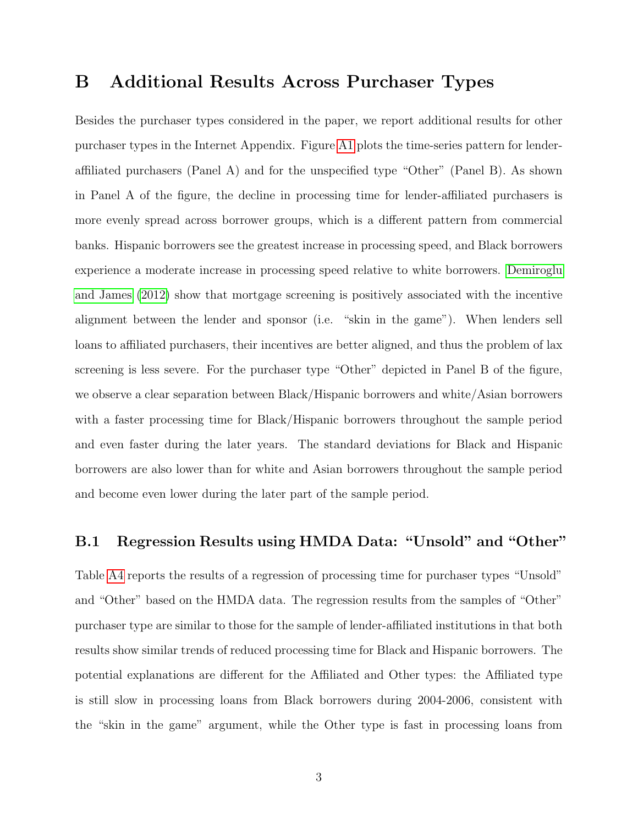### <span id="page-3-0"></span>B Additional Results Across Purchaser Types

Besides the purchaser types considered in the paper, we report additional results for other purchaser types in the Internet Appendix. Figure [A1](#page-4-0) plots the time-series pattern for lenderaffiliated purchasers (Panel A) and for the unspecified type "Other" (Panel B). As shown in Panel A of the figure, the decline in processing time for lender-affiliated purchasers is more evenly spread across borrower groups, which is a different pattern from commercial banks. Hispanic borrowers see the greatest increase in processing speed, and Black borrowers experience a moderate increase in processing speed relative to white borrowers. [Demiroglu](#page-7-2) [and James](#page-7-2) [\(2012\)](#page-7-2) show that mortgage screening is positively associated with the incentive alignment between the lender and sponsor (i.e. "skin in the game"). When lenders sell loans to affiliated purchasers, their incentives are better aligned, and thus the problem of lax screening is less severe. For the purchaser type "Other" depicted in Panel B of the figure, we observe a clear separation between Black/Hispanic borrowers and white/Asian borrowers with a faster processing time for Black/Hispanic borrowers throughout the sample period and even faster during the later years. The standard deviations for Black and Hispanic borrowers are also lower than for white and Asian borrowers throughout the sample period and become even lower during the later part of the sample period.

#### <span id="page-3-1"></span>B.1 Regression Results using HMDA Data: "Unsold" and "Other"

Table [A4](#page-11-0) reports the results of a regression of processing time for purchaser types "Unsold" and "Other" based on the HMDA data. The regression results from the samples of "Other" purchaser type are similar to those for the sample of lender-affiliated institutions in that both results show similar trends of reduced processing time for Black and Hispanic borrowers. The potential explanations are different for the Affiliated and Other types: the Affiliated type is still slow in processing loans from Black borrowers during 2004-2006, consistent with the "skin in the game" argument, while the Other type is fast in processing loans from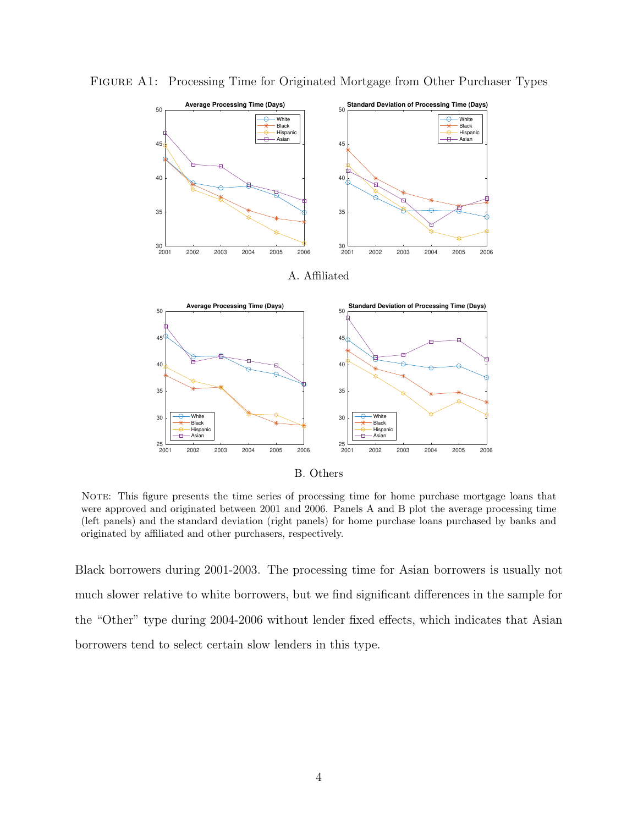

<span id="page-4-0"></span>Figure A1: Processing Time for Originated Mortgage from Other Purchaser Types

B. Others

NOTE: This figure presents the time series of processing time for home purchase mortgage loans that were approved and originated between 2001 and 2006. Panels A and B plot the average processing time (left panels) and the standard deviation (right panels) for home purchase loans purchased by banks and originated by affiliated and other purchasers, respectively.

Black borrowers during 2001-2003. The processing time for Asian borrowers is usually not much slower relative to white borrowers, but we find significant differences in the sample for the "Other" type during 2004-2006 without lender fixed effects, which indicates that Asian borrowers tend to select certain slow lenders in this type.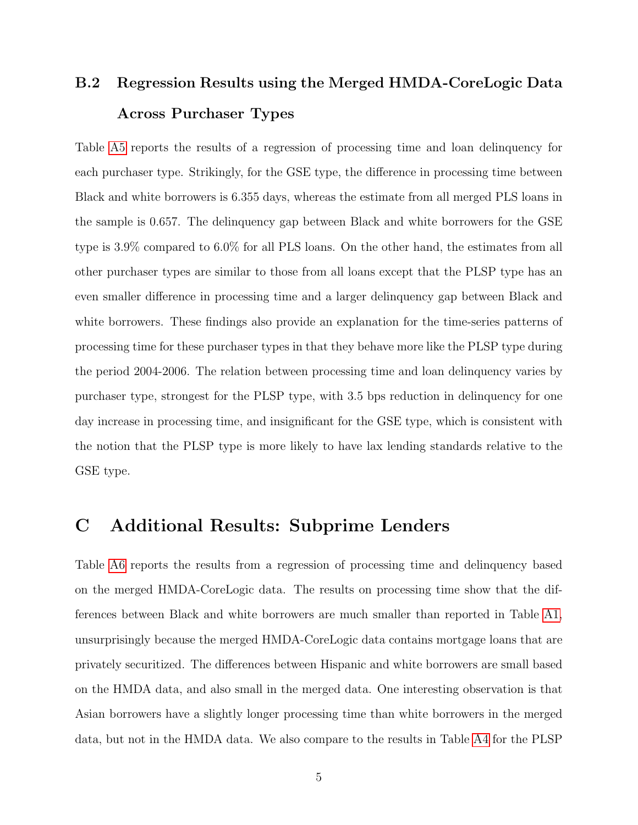## <span id="page-5-0"></span>B.2 Regression Results using the Merged HMDA-CoreLogic Data Across Purchaser Types

Table [A5](#page-12-0) reports the results of a regression of processing time and loan delinquency for each purchaser type. Strikingly, for the GSE type, the difference in processing time between Black and white borrowers is 6.355 days, whereas the estimate from all merged PLS loans in the sample is 0.657. The delinquency gap between Black and white borrowers for the GSE type is 3.9% compared to 6.0% for all PLS loans. On the other hand, the estimates from all other purchaser types are similar to those from all loans except that the PLSP type has an even smaller difference in processing time and a larger delinquency gap between Black and white borrowers. These findings also provide an explanation for the time-series patterns of processing time for these purchaser types in that they behave more like the PLSP type during the period 2004-2006. The relation between processing time and loan delinquency varies by purchaser type, strongest for the PLSP type, with 3.5 bps reduction in delinquency for one day increase in processing time, and insignificant for the GSE type, which is consistent with the notion that the PLSP type is more likely to have lax lending standards relative to the GSE type.

### <span id="page-5-1"></span>C Additional Results: Subprime Lenders

Table [A6](#page-13-0) reports the results from a regression of processing time and delinquency based on the merged HMDA-CoreLogic data. The results on processing time show that the differences between Black and white borrowers are much smaller than reported in Table [A1,](#page-8-0) unsurprisingly because the merged HMDA-CoreLogic data contains mortgage loans that are privately securitized. The differences between Hispanic and white borrowers are small based on the HMDA data, and also small in the merged data. One interesting observation is that Asian borrowers have a slightly longer processing time than white borrowers in the merged data, but not in the HMDA data. We also compare to the results in Table [A4](#page-11-0) for the PLSP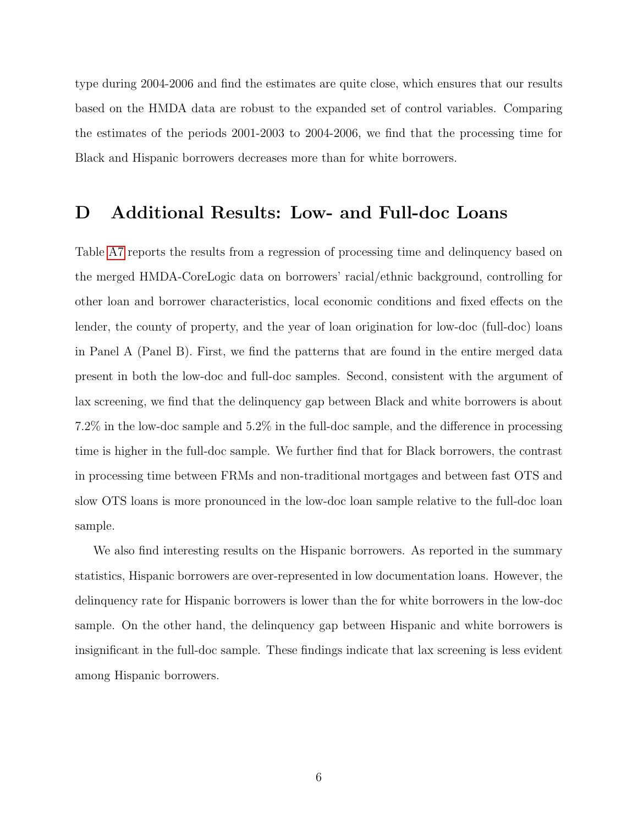type during 2004-2006 and find the estimates are quite close, which ensures that our results based on the HMDA data are robust to the expanded set of control variables. Comparing the estimates of the periods 2001-2003 to 2004-2006, we find that the processing time for Black and Hispanic borrowers decreases more than for white borrowers.

### <span id="page-6-0"></span>D Additional Results: Low- and Full-doc Loans

Table [A7](#page-14-0) reports the results from a regression of processing time and delinquency based on the merged HMDA-CoreLogic data on borrowers' racial/ethnic background, controlling for other loan and borrower characteristics, local economic conditions and fixed effects on the lender, the county of property, and the year of loan origination for low-doc (full-doc) loans in Panel A (Panel B). First, we find the patterns that are found in the entire merged data present in both the low-doc and full-doc samples. Second, consistent with the argument of lax screening, we find that the delinquency gap between Black and white borrowers is about 7.2% in the low-doc sample and 5.2% in the full-doc sample, and the difference in processing time is higher in the full-doc sample. We further find that for Black borrowers, the contrast in processing time between FRMs and non-traditional mortgages and between fast OTS and slow OTS loans is more pronounced in the low-doc loan sample relative to the full-doc loan sample.

We also find interesting results on the Hispanic borrowers. As reported in the summary statistics, Hispanic borrowers are over-represented in low documentation loans. However, the delinquency rate for Hispanic borrowers is lower than the for white borrowers in the low-doc sample. On the other hand, the delinquency gap between Hispanic and white borrowers is insignificant in the full-doc sample. These findings indicate that lax screening is less evident among Hispanic borrowers.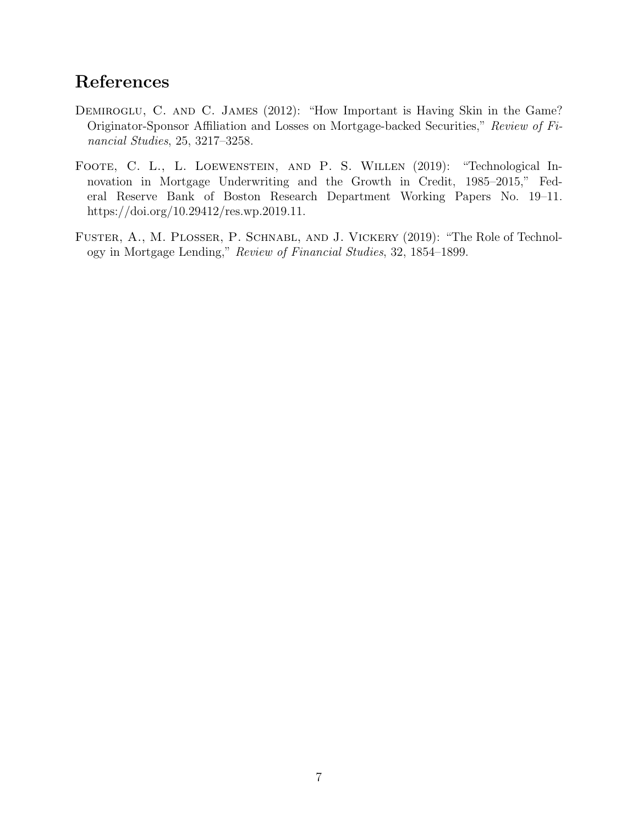### References

- <span id="page-7-2"></span>DEMIROGLU, C. AND C. JAMES (2012): "How Important is Having Skin in the Game? Originator-Sponsor Affiliation and Losses on Mortgage-backed Securities," Review of Financial Studies, 25, 3217–3258.
- <span id="page-7-0"></span>FOOTE, C. L., L. LOEWENSTEIN, AND P. S. WILLEN (2019): "Technological Innovation in Mortgage Underwriting and the Growth in Credit, 1985–2015," Federal Reserve Bank of Boston Research Department Working Papers No. 19–11. https://doi.org/10.29412/res.wp.2019.11.
- <span id="page-7-1"></span>FUSTER, A., M. PLOSSER, P. SCHNABL, AND J. VICKERY (2019): "The Role of Technology in Mortgage Lending," Review of Financial Studies, 32, 1854–1899.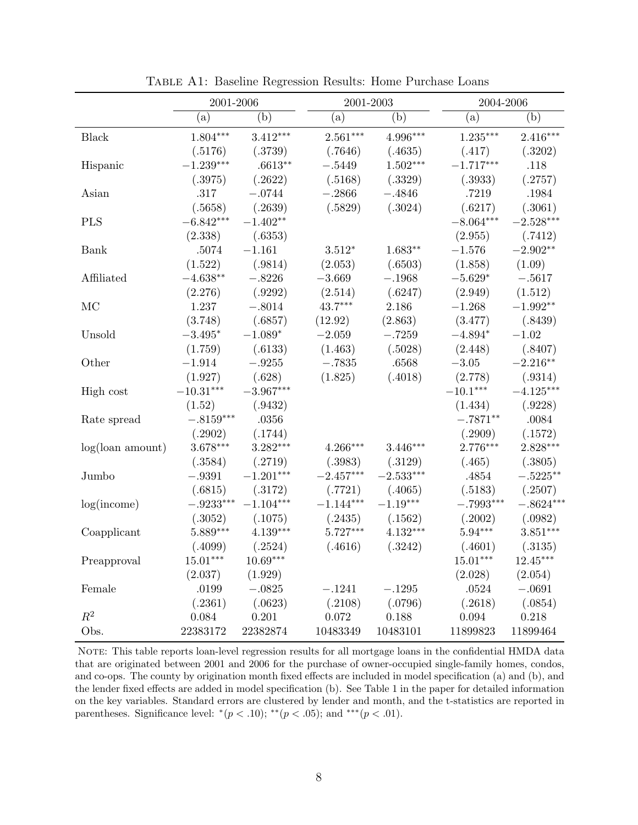<span id="page-8-0"></span>

|                        | 2001-2006        |             |             | 2001-2003   |             | 2004-2006   |  |
|------------------------|------------------|-------------|-------------|-------------|-------------|-------------|--|
|                        | (a)              | (b)         | (a)         | (b)         | (a)         | (b)         |  |
| <b>Black</b>           | $1.804***$       | $3.412***$  | $2.561***$  | $4.996***$  | $1.235***$  | $2.416***$  |  |
|                        | (.5176)          | (.3739)     | (.7646)     | (.4635)     | (.417)      | (.3202)     |  |
| Hispanic               | $-1.239***$      | $.6613**$   | $-.5449$    | $1.502***$  | $-1.717***$ | .118        |  |
|                        | (.3975)          | (.2622)     | (.5168)     | (.3329)     | (.3933)     | (.2757)     |  |
| Asian                  | .317             | $-.0744$    | $-.2866$    | $-.4846$    | .7219       | .1984       |  |
|                        | (.5658)          | (.2639)     | (.5829)     | (.3024)     | (.6217)     | (.3061)     |  |
| <b>PLS</b>             | $-6.842***$      | $-1.402**$  |             |             | $-8.064***$ | $-2.528***$ |  |
|                        | (2.338)          | (.6353)     |             |             | (2.955)     | (.7412)     |  |
| Bank                   | .5074            | $-1.161$    | $3.512*$    | $1.683**$   | $-1.576$    | $-2.902**$  |  |
|                        | (1.522)          | (.9814)     | (2.053)     | (.6503)     | (1.858)     | (1.09)      |  |
| Affiliated             | $-4.638**$       | $-.8226$    | $-3.669$    | $-.1968$    | $-5.629*$   | $-.5617$    |  |
|                        | (2.276)          | (.9292)     | (2.514)     | (.6247)     | (2.949)     | (1.512)     |  |
| MC                     | 1.237            | $-.8014$    | $43.7***$   | 2.186       | $-1.268$    | $-1.992**$  |  |
|                        | (3.748)          | (.6857)     | (12.92)     | (2.863)     | (3.477)     | (.8439)     |  |
| Unsold                 | $-3.495*$        | $-1.089*$   | $-2.059$    | $-.7259$    | $-4.894*$   | $-1.02$     |  |
|                        | (1.759)          | (.6133)     | (1.463)     | (.5028)     | (2.448)     | (.8407)     |  |
| Other                  | $-1.914$         | $-.9255$    | $-.7835$    | .6568       | $-3.05$     | $-2.216**$  |  |
|                        | (1.927)          | (.628)      | (1.825)     | (.4018)     | (2.778)     | (.9314)     |  |
| High cost              | $-10.31***$      | $-3.967***$ |             |             | $-10.1***$  | $-4.125***$ |  |
|                        | (1.52)           | (.9432)     |             |             | (1.434)     | (.9228)     |  |
| Rate spread            | $-.8159***$      | .0356       |             |             | $-.7871**$  | .0084       |  |
|                        | (.2902)          | (.1744)     |             |             | (.2909)     | (.1572)     |  |
| $log($ loan amount $)$ | $3.678***$       | $3.282***$  | $4.266***$  | $3.446***$  | $2.776***$  | $2.828***$  |  |
|                        | (.3584)          | (.2719)     | (.3983)     | (.3129)     | (.465)      | (.3805)     |  |
| Jumbo                  | $-.9391$         | $-1.201***$ | $-2.457***$ | $-2.533***$ | .4854       | $-.5225**$  |  |
|                        | (.6815)          | (.3172)     | (.7721)     | (.4065)     | (.5183)     | (.2507)     |  |
| log(income)            | $-.9233^{***}\,$ | $-1.104***$ | $-1.144***$ | $-1.19***$  | $-.7993***$ | $-.8624***$ |  |
|                        | (.3052)          | (.1075)     | (.2435)     | (.1562)     | (.2002)     | (.0982)     |  |
| Coapplicant            | $5.889***$       | $4.139***$  | $5.727***$  | $4.132***$  | $5.94***$   | $3.851***$  |  |
|                        | (.4099)          | (.2524)     | (.4616)     | (.3242)     | (.4601)     | (.3135)     |  |
| Preapproval            | $15.01***$       | $10.69***$  |             |             | $15.01***$  | $12.45***$  |  |
|                        | (2.037)          | (1.929)     |             |             | (2.028)     | (2.054)     |  |
| Female                 | .0199            | $-.0825$    | $-.1241$    | $-.1295$    | .0524       | $-.0691$    |  |
|                        | (.2361)          | (.0623)     | (.2108)     | (.0796)     | (.2618)     | (.0854)     |  |
| $R^2$                  | 0.084            | 0.201       | 0.072       | 0.188       | 0.094       | 0.218       |  |
| Obs.                   | 22383172         | 22382874    | 10483349    | 10483101    | 11899823    | 11899464    |  |

Table A1: Baseline Regression Results: Home Purchase Loans

NOTE: This table reports loan-level regression results for all mortgage loans in the confidential HMDA data that are originated between 2001 and 2006 for the purchase of owner-occupied single-family homes, condos, and co-ops. The county by origination month fixed effects are included in model specification (a) and (b), and the lender fixed effects are added in model specification (b). See Table 1 in the paper for detailed information on the key variables. Standard errors are clustered by lender and month, and the t-statistics are reported in parentheses. Significance level:  $*(p < .10)$ ;  $^{**}(p < .05)$ ; and  $^{***}(p < .01)$ .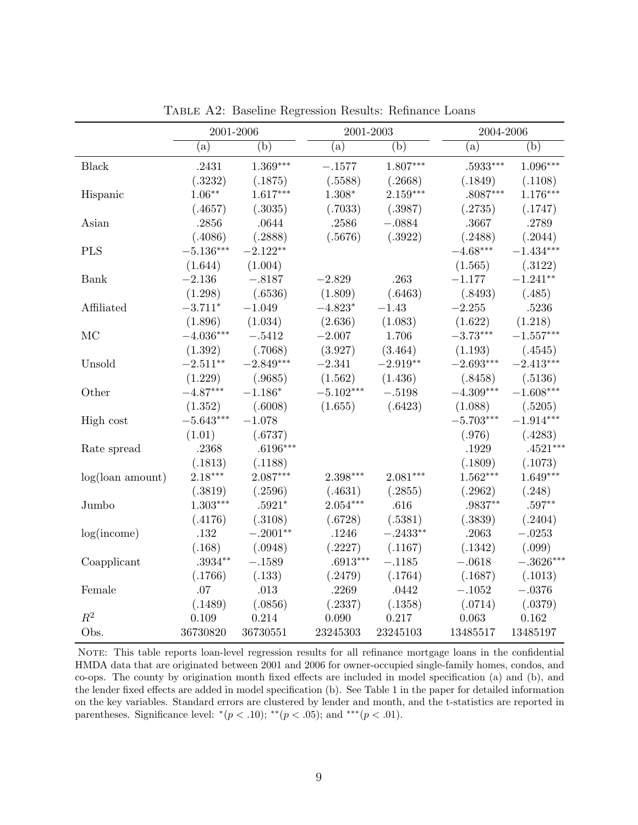<span id="page-9-0"></span>

|                        | 2001-2006   |             | 2001-2003   |            | 2004-2006   |             |
|------------------------|-------------|-------------|-------------|------------|-------------|-------------|
|                        | (a)         | (b)         | (a)         | (b)        | (a)         | (b)         |
| <b>Black</b>           | .2431       | $1.369***$  | $-.1577$    | $1.807***$ | .5933***    | $1.096***$  |
|                        | (.3232)     | (.1875)     | (.5588)     | (.2668)    | (.1849)     | (.1108)     |
| Hispanic               | $1.06**$    | $1.617***$  | $1.308*$    | $2.159***$ | .8087***    | $1.176***$  |
|                        | (.4657)     | (.3035)     | (.7033)     | (.3987)    | (.2735)     | (.1747)     |
| Asian                  | .2856       | .0644       | .2586       | $-.0884$   | .3667       | .2789       |
|                        | (.4086)     | (.2888)     | (.5676)     | (.3922)    | (.2488)     | (.2044)     |
| <b>PLS</b>             | $-5.136***$ | $-2.122**$  |             |            | $-4.68***$  | $-1.434***$ |
|                        | (1.644)     | (1.004)     |             |            | (1.565)     | (.3122)     |
| Bank                   | $-2.136$    | $-.8187$    | $-2.829$    | .263       | $-1.177$    | $-1.241**$  |
|                        | (1.298)     | (.6536)     | (1.809)     | (.6463)    | (.8493)     | (.485)      |
| Affiliated             | $-3.711*$   | $-1.049$    | $-4.823*$   | $-1.43$    | $-2.255$    | .5236       |
|                        | (1.896)     | (1.034)     | (2.636)     | (1.083)    | (1.622)     | (1.218)     |
| MC                     | $-4.036***$ | $-.5412$    | $-2.007$    | 1.706      | $-3.73***$  | $-1.557***$ |
|                        | (1.392)     | (.7068)     | (3.927)     | (3.464)    | (1.193)     | (.4545)     |
| Unsold                 | $-2.511**$  | $-2.849***$ | $-2.341$    | $-2.919**$ | $-2.693***$ | $-2.413***$ |
|                        | (1.229)     | (.9685)     | (1.562)     | (1.436)    | (.8458)     | (.5136)     |
| Other                  | $-4.87***$  | $-1.186*$   | $-5.102***$ | $-.5198$   | $-4.309***$ | $-1.608***$ |
|                        | (1.352)     | (.6008)     | (1.655)     | (.6423)    | (1.088)     | (.5205)     |
| High cost              | $-5.643***$ | $-1.078$    |             |            | $-5.703***$ | $-1.914***$ |
|                        | (1.01)      | (.6737)     |             |            | (.976)      | (.4283)     |
| Rate spread            | .2368       | $.6196***$  |             |            | .1929       | $.4521***$  |
|                        | (.1813)     | (.1188)     |             |            | (.1809)     | (.1073)     |
| $log($ loan amount $)$ | $2.18***$   | $2.087***$  | $2.398***$  | $2.081***$ | $1.562***$  | $1.649***$  |
|                        | (.3819)     | (.2596)     | (.4631)     | (.2855)    | (.2962)     | (.248)      |
| Jumbo                  | $1.303***$  | $.5921*$    | $2.054***$  | .616       | .9837**     | $.597**$    |
|                        | (.4176)     | (.3108)     | (.6728)     | (.5381)    | (.3839)     | (.2404)     |
| log(income)            | .132        | $-.2001**$  | .1246       | $-.2433**$ | .2063       | $-.0253$    |
|                        | (.168)      | (.0948)     | (.2227)     | (.1167)    | (.1342)     | (.099)      |
| Coapplicant            | $.3934**$   | $-.1589$    | $.6913***$  | $-.1185$   | $-.0618$    | $-.3626***$ |
|                        | (.1766)     | (.133)      | (.2479)     | (.1764)    | (.1687)     | (.1013)     |
| Female                 | .07         | .013        | .2269       | .0442      | $-.1052$    | $-.0376$    |
|                        | (.1489)     | (.0856)     | (.2337)     | (.1358)    | (.0714)     | (.0379)     |
| $R^2$                  | 0.109       | 0.214       | 0.090       | 0.217      | 0.063       | 0.162       |
| Obs.                   | 36730820    | 36730551    | 23245303    | 23245103   | 13485517    | 13485197    |

Table A2: Baseline Regression Results: Refinance Loans

NOTE: This table reports loan-level regression results for all refinance mortgage loans in the confidential HMDA data that are originated between 2001 and 2006 for owner-occupied single-family homes, condos, and co-ops. The county by origination month fixed effects are included in model specification (a) and (b), and the lender fixed effects are added in model specification (b). See Table 1 in the paper for detailed information on the key variables. Standard errors are clustered by lender and month, and the t-statistics are reported in parentheses. Significance level:  $*(p < .10)$ ;  $** (p < .05)$ ; and  $*** (p < .01)$ .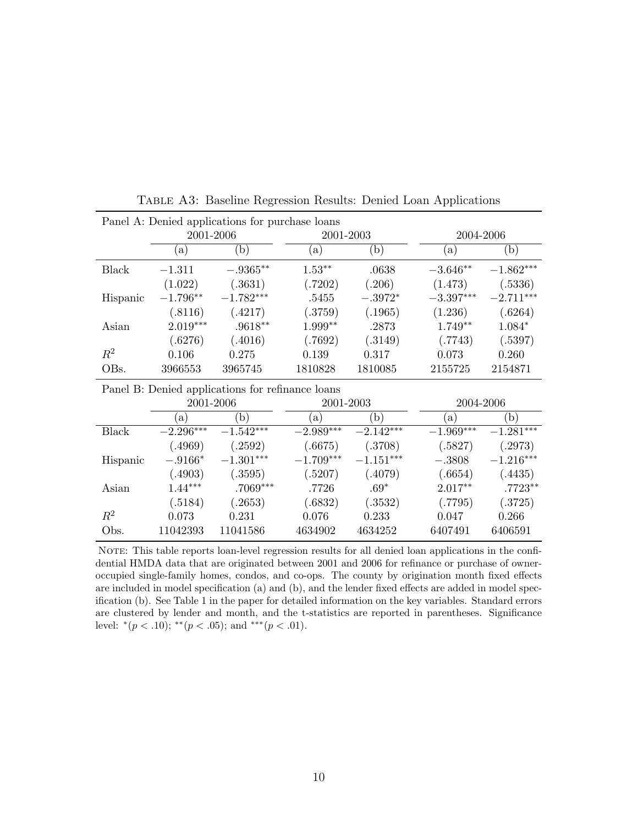<span id="page-10-0"></span>

| Panel A: Denied applications for purchase loans  |                           |             |             |              |             |                         |  |  |  |
|--------------------------------------------------|---------------------------|-------------|-------------|--------------|-------------|-------------------------|--|--|--|
|                                                  | 2001-2006                 |             | 2001-2003   |              | 2004-2006   |                         |  |  |  |
|                                                  | (a)                       | (b)         | (a)         | (b)          | (a)         | (b)                     |  |  |  |
| <b>Black</b>                                     | $-1.311$                  | $-.9365**$  | $1.53***$   | .0638        | $-3.646**$  | $-1.862^{\ast\ast\ast}$ |  |  |  |
|                                                  | (1.022)                   | (.3631)     | (.7202)     | (.206)       | (1.473)     | (.5336)                 |  |  |  |
| Hispanic                                         | $-1.796**$                | $-1.782***$ | .5455       | $-.3972*$    | $-3.397***$ | $-2.711***$             |  |  |  |
|                                                  | (.8116)                   | (.4217)     | (.3759)     | (.1965)      | (1.236)     | (.6264)                 |  |  |  |
| Asian                                            | $2.019***$                | $.9618**$   | $1.999**$   | .2873        | $1.749**$   | $1.084*$                |  |  |  |
|                                                  | (.6276)                   | (.4016)     | (.7692)     | (.3149)      | (.7743)     | (.5397)                 |  |  |  |
| $R^2$                                            | 0.106                     | 0.275       | 0.139       | 0.317        | 0.073       | 0.260                   |  |  |  |
| OBs.                                             | 3966553                   | 3965745     | 1810828     | 1810085      | 2155725     | 2154871                 |  |  |  |
| Panel B: Denied applications for refinance loans |                           |             |             |              |             |                         |  |  |  |
|                                                  |                           |             |             |              |             |                         |  |  |  |
|                                                  | 2001-2006                 |             | 2001-2003   |              | 2004-2006   |                         |  |  |  |
|                                                  | $\alpha$ )                | (b)         | (a)         | $\mathbf{b}$ | (a)         | (b)                     |  |  |  |
| Black                                            | $-2.296^{\overline{***}}$ | $-1.542***$ | $-2.989***$ | $-2.142***$  | $-1.969***$ | $-1.281***$             |  |  |  |
|                                                  | (.4969)                   | (.2592)     | (.6675)     | (.3708)      | (.5827)     | (.2973)                 |  |  |  |
| Hispanic                                         | $-.9166*$                 | $-1.301***$ | $-1.709***$ | $-1.151***$  | $-.3808$    | $-1.216***$             |  |  |  |
|                                                  | (.4903)                   | (.3595)     | (.5207)     | (.4079)      | (.6654)     | (.4435)                 |  |  |  |
| Asian                                            | $1.44***$                 | $.7069***$  | .7726       | $.69*$       | $2.017**$   | .7723**                 |  |  |  |
|                                                  | (.5184)                   | (.2653)     | (.6832)     | (.3532)      | (.7795)     | (.3725)                 |  |  |  |
| $\,R^2$                                          | 0.073                     | 0.231       | 0.076       | 0.233        | 0.047       | 0.266                   |  |  |  |

Table A3: Baseline Regression Results: Denied Loan Applications

NOTE: This table reports loan-level regression results for all denied loan applications in the confidential HMDA data that are originated between 2001 and 2006 for refinance or purchase of owneroccupied single-family homes, condos, and co-ops. The county by origination month fixed effects are included in model specification (a) and (b), and the lender fixed effects are added in model specification (b). See Table 1 in the paper for detailed information on the key variables. Standard errors are clustered by lender and month, and the t-statistics are reported in parentheses. Significance level:  $*(p < .10)$ ;  $^{**}(p < .05)$ ; and  $^{***}(p < .01)$ .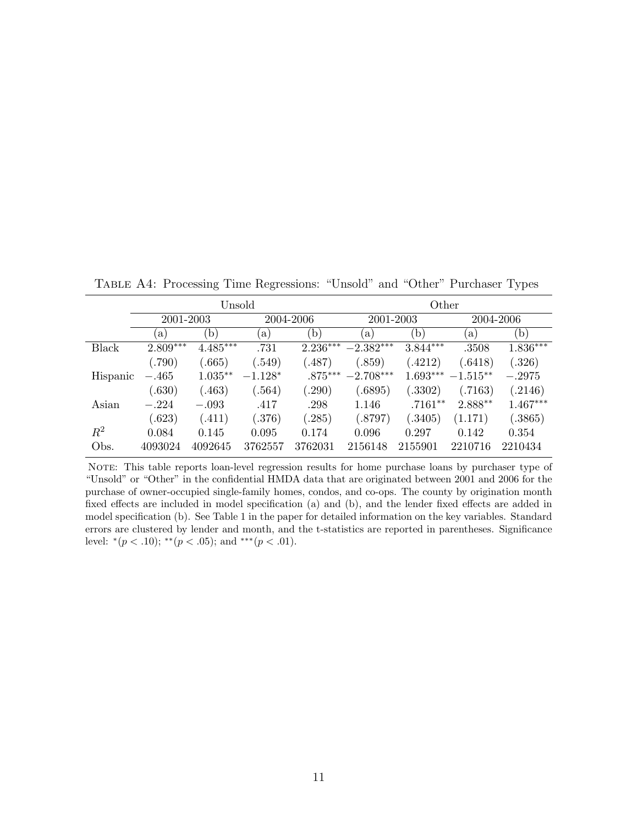<span id="page-11-0"></span>Table A4: Processing Time Regressions: "Unsold" and "Other" Purchaser Types

|          |            | Unsold       |            |            | Other       |              |            |            |
|----------|------------|--------------|------------|------------|-------------|--------------|------------|------------|
|          | 2001-2003  |              | 2004-2006  |            | 2001-2003   |              | 2004-2006  |            |
|          | a)         | $\mathbf{b}$ | $\alpha$ ) | (b)        | a           | $\mathbf{b}$ | a)         | (b)        |
| Black    | $2.809***$ | $4.485***$   | .731       | $2.236***$ | $-2.382***$ | $3.844***$   | .3508      | $1.836***$ |
|          | (.790)     | (0.665)      | (.549)     | (487)      | (.859)      | (.4212)      | (.6418)    | (.326)     |
| Hispanic | $-.465$    | $1.035**$    | $-1.128*$  | $.875***$  | $-2.708***$ | $1.693***$   | $-1.515**$ | $-.2975$   |
|          | (.630)     | (.463)       | (.564)     | (.290)     | (.6895)     | (.3302)      | (0.7163)   | .2146)     |
| Asian    | $-.224$    | $-.093$      | .417       | .298       | 1.146       | $.7161**$    | $2.888**$  | $1.467***$ |
|          | (.623)     | (411)        | (.376)     | (.285)     | (.8797)     | (.3405)      | (1.171)    | (.3865)    |
| $\,R^2$  | 0.084      | 0.145        | 0.095      | 0.174      | 0.096       | 0.297        | 0.142      | 0.354      |
| Obs.     | 4093024    | 4092645      | 3762557    | 3762031    | 2156148     | 2155901      | 2210716    | 2210434    |

NOTE: This table reports loan-level regression results for home purchase loans by purchaser type of "Unsold" or "Other" in the confidential HMDA data that are originated between 2001 and 2006 for the purchase of owner-occupied single-family homes, condos, and co-ops. The county by origination month fixed effects are included in model specification (a) and (b), and the lender fixed effects are added in model specification (b). See Table 1 in the paper for detailed information on the key variables. Standard errors are clustered by lender and month, and the t-statistics are reported in parentheses. Significance level:  $*(p < .10)$ ;  $^{**}(p < .05)$ ; and  $^{***}(p < .01)$ .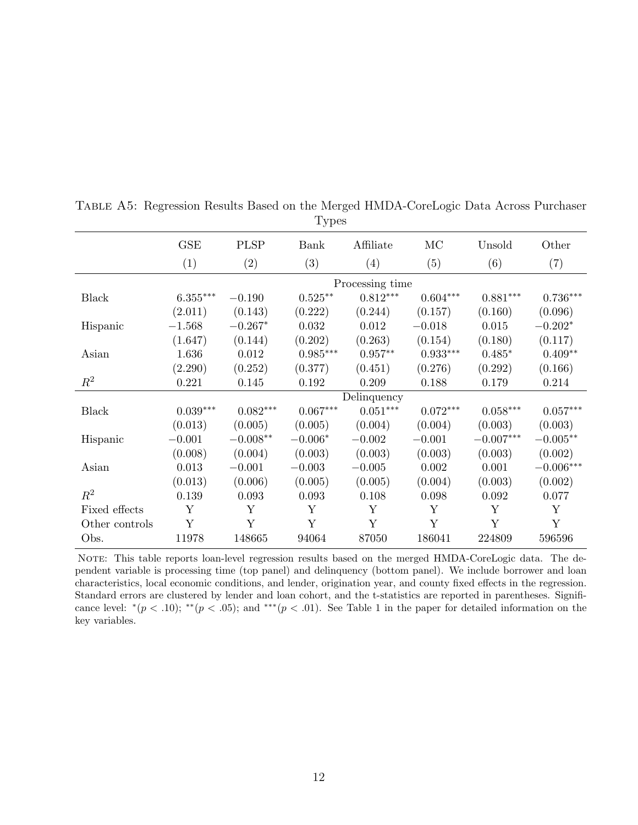|                |                        |             | ັ້              |                 |                 |                        |                        |
|----------------|------------------------|-------------|-----------------|-----------------|-----------------|------------------------|------------------------|
|                | GSE                    | <b>PLSP</b> | Bank            | Affiliate       | MC              | Unsold                 | Other                  |
|                | (1)                    | (2)         | (3)             | (4)             | (5)             | (6)                    | (7)                    |
|                |                        |             |                 | Processing time |                 |                        |                        |
| <b>Black</b>   | $6.355^{\ast\ast\ast}$ | $-0.190$    | $0.525***$      | $0.812***$      | $0.604***$      | $0.881^{\ast\ast\ast}$ | $0.736^{\ast\ast\ast}$ |
|                | (2.011)                | (0.143)     | (0.222)         | (0.244)         | (0.157)         | (0.160)                | (0.096)                |
| Hispanic       | $-1.568$               | $-0.267*$   | 0.032           | 0.012           | $-0.018$        | 0.015                  | $-0.202*$              |
|                | (1.647)                | (0.144)     | (0.202)         | (0.263)         | (0.154)         | (0.180)                | (0.117)                |
| Asian          | 1.636                  | $0.012\,$   | $0.985***$      | $0.957**$       | $0.933^{***}\,$ | $0.485*$               | $0.409**$              |
|                | (2.290)                | (0.252)     | (0.377)         | (0.451)         | (0.276)         | (0.292)                | (0.166)                |
| $R^2$          | 0.221                  | 0.145       | 0.192           | 0.209           | 0.188           | 0.179                  | 0.214                  |
|                |                        |             |                 | Delinquency     |                 |                        |                        |
| <b>Black</b>   | $0.039***$             | $0.082***$  | $0.067^{***}\,$ | $0.051***$      | $0.072***$      | $0.058***$             | $0.057***$             |
|                | (0.013)                | (0.005)     | (0.005)         | (0.004)         | (0.004)         | (0.003)                | (0.003)                |
| Hispanic       | $-0.001$               | $-0.008**$  | $-0.006*$       | $-0.002$        | $-0.001$        | $-0.007***$            | $-0.005**$             |
|                | (0.008)                | (0.004)     | (0.003)         | (0.003)         | (0.003)         | (0.003)                | (0.002)                |
| Asian          | 0.013                  | $-0.001$    | $-0.003$        | $-0.005$        | 0.002           | 0.001                  | $-0.006\mbox{***}$     |
|                | (0.013)                | (0.006)     | (0.005)         | (0.005)         | (0.004)         | (0.003)                | (0.002)                |
| $R^2$          | 0.139                  | 0.093       | 0.093           | 0.108           | 0.098           | 0.092                  | 0.077                  |
| Fixed effects  | Y                      | Y           | Y               | Y               | Y               | Y                      | Y                      |
| Other controls | Y                      | Y           | Y               | Y               | Y               | Y                      | Y                      |
| Obs.           | 11978                  | 148665      | 94064           | 87050           | 186041          | 224809                 | 596596                 |

<span id="page-12-0"></span>Table A5: Regression Results Based on the Merged HMDA-CoreLogic Data Across Purchaser Types

Note: This table reports loan-level regression results based on the merged HMDA-CoreLogic data. The dependent variable is processing time (top panel) and delinquency (bottom panel). We include borrower and loan characteristics, local economic conditions, and lender, origination year, and county fixed effects in the regression. Standard errors are clustered by lender and loan cohort, and the t-statistics are reported in parentheses. Significance level:  $*(p < .10)$ ;  $^{**}(p < .05)$ ; and  $^{***}(p < .01)$ . See Table 1 in the paper for detailed information on the key variables.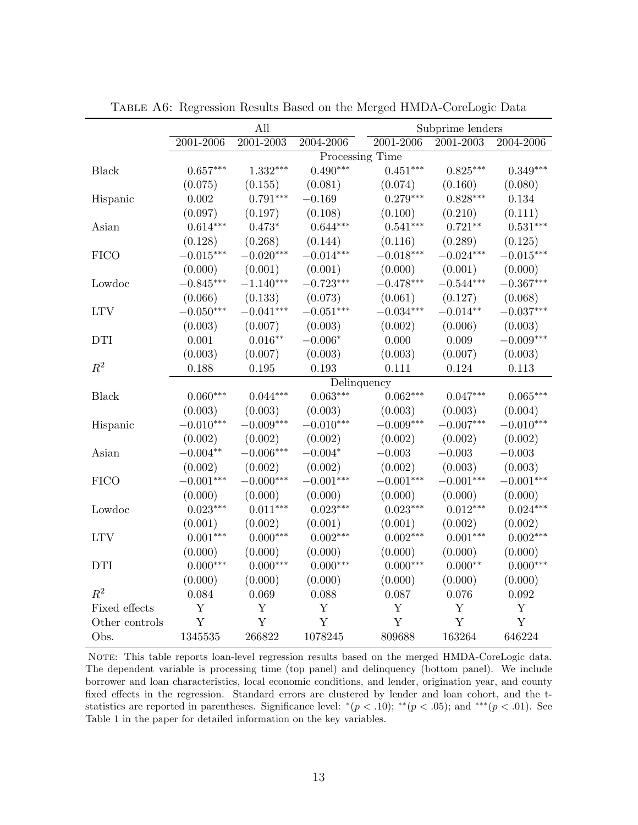<span id="page-13-0"></span>

|                |                        | All                     |                 |                         | Subprime lenders       |                         |  |  |
|----------------|------------------------|-------------------------|-----------------|-------------------------|------------------------|-------------------------|--|--|
|                | 2001-2006              | 2001-2003               | 2004-2006       | 2001-2006               | 2001-2003              | 2004-2006               |  |  |
|                |                        |                         |                 | Processing Time         |                        |                         |  |  |
| Black          | $0.657^{\ast\ast\ast}$ | $1.332^{***}\,$         | $0.490***$      | $0.451***$              | $0.825^{\ast\ast\ast}$ | $0.349***$              |  |  |
|                | (0.075)                | (0.155)                 | (0.081)         | (0.074)                 | (0.160)                | (0.080)                 |  |  |
| Hispanic       | $0.002\,$              | $0.791^{\ast\ast\ast}$  | $-0.169$        | $0.279***$              | $0.828^{\ast\ast\ast}$ | $\,0.134\,$             |  |  |
|                | (0.097)                | (0.197)                 | (0.108)         | (0.100)                 | (0.210)                | (0.111)                 |  |  |
| Asian          | $0.614***$             | $0.473*$                | $0.644***$      | $0.541***$              | $0.721**$              | $0.531^{\ast\ast\ast}$  |  |  |
|                | (0.128)                | (0.268)                 | (0.144)         | (0.116)                 | (0.289)                | (0.125)                 |  |  |
| <b>FICO</b>    | $-0.015***$            | $-0.020^{\ast\ast\ast}$ | $-0.014***$     | $-0.018^{***}\,$        | $-0.024***$            | $-0.015^{***}\,$        |  |  |
|                | (0.000)                | (0.001)                 | (0.001)         | (0.000)                 | (0.001)                | (0.000)                 |  |  |
| Lowdoc         | $-0.845***$            | $-1.140***$             | $-0.723***$     | $-0.478^{\ast\ast\ast}$ | $-0.544^{***}\,$       | $-0.367^{\ast\ast\ast}$ |  |  |
|                | (0.066)                | (0.133)                 | (0.073)         | (0.061)                 | (0.127)                | (0.068)                 |  |  |
| <b>LTV</b>     | $-0.050***$            | $-0.041***$             | $-0.051***$     | $-0.034***$             | $-0.014**$             | $-0.037***$             |  |  |
|                | (0.003)                | (0.007)                 | (0.003)         | (0.002)                 | (0.006)                | (0.003)                 |  |  |
| <b>DTI</b>     | 0.001                  | $0.016**$               | $-0.006*$       | 0.000                   | 0.009                  | $-0.009***$             |  |  |
|                | (0.003)                | (0.007)                 | (0.003)         | (0.003)                 | (0.007)                | (0.003)                 |  |  |
| $R^2$          | 0.188                  | $0.195\,$               | 0.193           | 0.111                   | 0.124                  | 0.113                   |  |  |
|                |                        |                         |                 | Delinquency             |                        |                         |  |  |
| <b>Black</b>   | $0.060^{***}\,$        | $0.044^{***}\,$         | $0.063^{***}\,$ | $0.062***$              | $0.047^{***}\,$        | $0.065***$              |  |  |
|                | (0.003)                | (0.003)                 | (0.003)         | (0.003)                 | (0.003)                | (0.004)                 |  |  |
| Hispanic       | $-0.010***$            | $-0.009***$             | $-0.010***$     | $-0.009***$             | $-0.007***$            | $-0.010***$             |  |  |
|                | (0.002)                | (0.002)                 | (0.002)         | (0.002)                 | (0.002)                | (0.002)                 |  |  |
| Asian          | $-0.004**$             | $-0.006***$             | $-0.004*$       | $-0.003$                | $-0.003$               | $-0.003$                |  |  |
|                | (0.002)                | (0.002)                 | (0.002)         | (0.002)                 | (0.003)                | (0.003)                 |  |  |
| <b>FICO</b>    | $-0.001***$            | $-0.000***$             | $-0.001***$     | $-0.001***$             | $-0.001^{***}\,$       | $-0.001^{***}\,$        |  |  |
|                | (0.000)                | (0.000)                 | (0.000)         | (0.000)                 | (0.000)                | (0.000)                 |  |  |
| Lowdoc         | $0.023***$             | $0.011***$              | $0.023***$      | $0.023***$              | $0.012***$             | $0.024***$              |  |  |
|                | (0.001)                | (0.002)                 | (0.001)         | (0.001)                 | (0.002)                | (0.002)                 |  |  |
| <b>LTV</b>     | $0.001***$             | $0.000***$              | $0.002***$      | $0.002***$              | $0.001***$             | $0.002***$              |  |  |
|                | (0.000)                | (0.000)                 | (0.000)         | (0.000)                 | (0.000)                | (0.000)                 |  |  |
| DTI            | $0.000***$             | $0.000***$              | $0.000***$      | $0.000***$              | $0.000**$              | $0.000***$              |  |  |
|                | (0.000)                | (0.000)                 | (0.000)         | (0.000)                 | (0.000)                | (0.000)                 |  |  |
| $R^2$          | 0.084                  | 0.069                   | 0.088           | 0.087                   | 0.076                  | $\,0.092\,$             |  |  |
| Fixed effects  | $\mathbf Y$            | $\mathbf Y$             | $\mathbf Y$     | $\mathbf Y$             | Y                      | $\mathbf Y$             |  |  |
| Other controls | $\mathbf Y$            | Y                       | Y               | $\mathbf Y$             | $\mathbf Y$            | $\mathbf Y$             |  |  |
| Obs.           | 1345535                | 266822                  | 1078245         | 809688                  | 163264                 | 646224                  |  |  |

Table A6: Regression Results Based on the Merged HMDA-CoreLogic Data

NOTE: This table reports loan-level regression results based on the merged HMDA-CoreLogic data. The dependent variable is processing time (top panel) and delinquency (bottom panel). We include borrower and loan characteristics, local economic conditions, and lender, origination year, and county fixed effects in the regression. Standard errors are clustered by lender and loan cohort, and the tstatistics are reported in parentheses. Significance level:  $*(p < .10)$ ; \*\* $(p < .05)$ ; and \*\*\* $(p < .01)$ . See Table 1 in the paper for detailed information on the key variables.